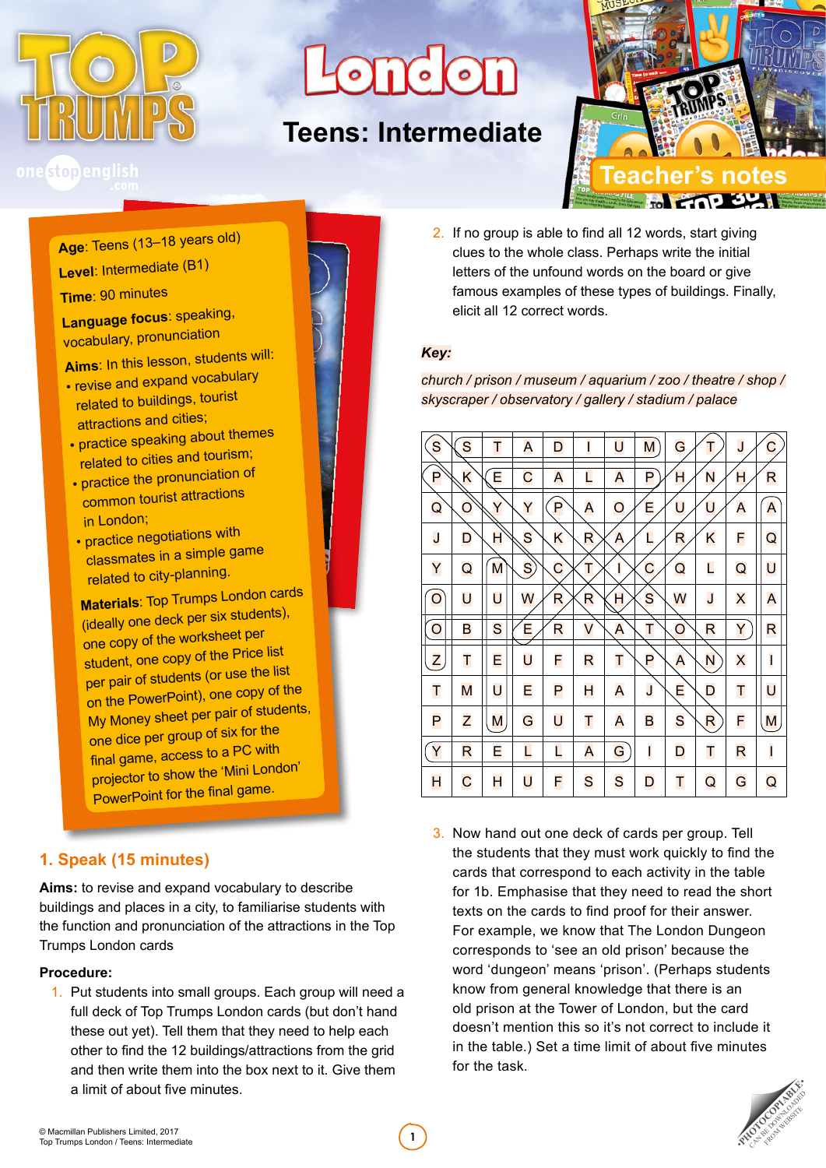

# **London**

# **Teens: Intermediate**



### one stopenglish

**Age**: Teens (13–18 years old) **Level**: Intermediate (B1)

#### **Time**: 90 minutes

**Language focus**: speaking, vocabulary, pronunciation

**Aims**: In this lesson, students will:

- revise and expand vocabulary related to buildings, tourist attractions and cities;
- practice speaking about themes related to cities and tourism;
- practice the pronunciation of common tourist attractions in London;
- practice negotiations with classmates in a simple game related to city-planning.

**Materials**: Top Trumps London cards (ideally one deck per six students), one copy of the worksheet per student, one copy of the Price list per pair of students (or use the list on the PowerPoint), one copy of the My Money sheet per pair of students, one dice per group of six for the final game, access to a PC with projector to show the 'Mini London' PowerPoint for the final game.

#### **1. Speak (15 minutes)**

**Aims:** to revise and expand vocabulary to describe buildings and places in a city, to familiarise students with the function and pronunciation of the attractions in the Top Trumps London cards

#### **Procedure:**

1. Put students into small groups. Each group will need a full deck of Top Trumps London cards (but don't hand these out yet). Tell them that they need to help each other to find the 12 buildings/attractions from the grid and then write them into the box next to it. Give them a limit of about five minutes. Top Trumps London / Teens: Intermediate **12017**<br>Top Trumps London / Teens: Intermediate **12017**<br>Top Trumps London / Teens: Intermediate

- 
- 2. If no group is able to find all 12 words, start giving clues to the whole class. Perhaps write the initial letters of the unfound words on the board or give famous examples of these types of buildings. Finally, elicit all 12 correct words.

#### *Key:*

*church / prison / museum / aquarium / zoo / theatre / shop / skyscraper / observatory / gallery / stadium / palace*

| S | S | Т | A  | D | ı | U | M | G | Т | J | Ć            |
|---|---|---|----|---|---|---|---|---|---|---|--------------|
| P | Κ | E | С  | A | L | A | P | н | N | н | R            |
| Q | O | Y | Y  | P | A | O | Ε | U | U | A | A            |
| J | D | н | S  | K | R | Α | L | R | K | F | Q            |
| Y | Q | M | S, | C | т | ı | C | Q | L | Q | U            |
| O | U | U | W  | R | R | Н | S | W | J | X | A            |
| O | B | S | E  | R | V | A | Τ | O | R | Y | R            |
| Z | T | E | U  | F | R | T | P | A | N | X | $\mathsf{l}$ |
| Τ | M | U | E  | P | H | A | J | E | D | T | U            |
| P | Z | M | G  | U | Т | A | B | S | R | F | M            |
| Y | R | E | L  | L | A | G | I | D | Τ | R | I            |
| H | С | H | U  | F | S | S | D | Τ | Q | G | Q            |

3. Now hand out one deck of cards per group. Tell the students that they must work quickly to find the cards that correspond to each activity in the table for 1b. Emphasise that they need to read the short texts on the cards to find proof for their answer. For example, we know that The London Dungeon corresponds to 'see an old prison' because the word 'dungeon' means 'prison'. (Perhaps students know from general knowledge that there is an old prison at the Tower of London, but the card doesn't mention this so it's not correct to include it in the table.) Set a time limit of about five minutes for the task.

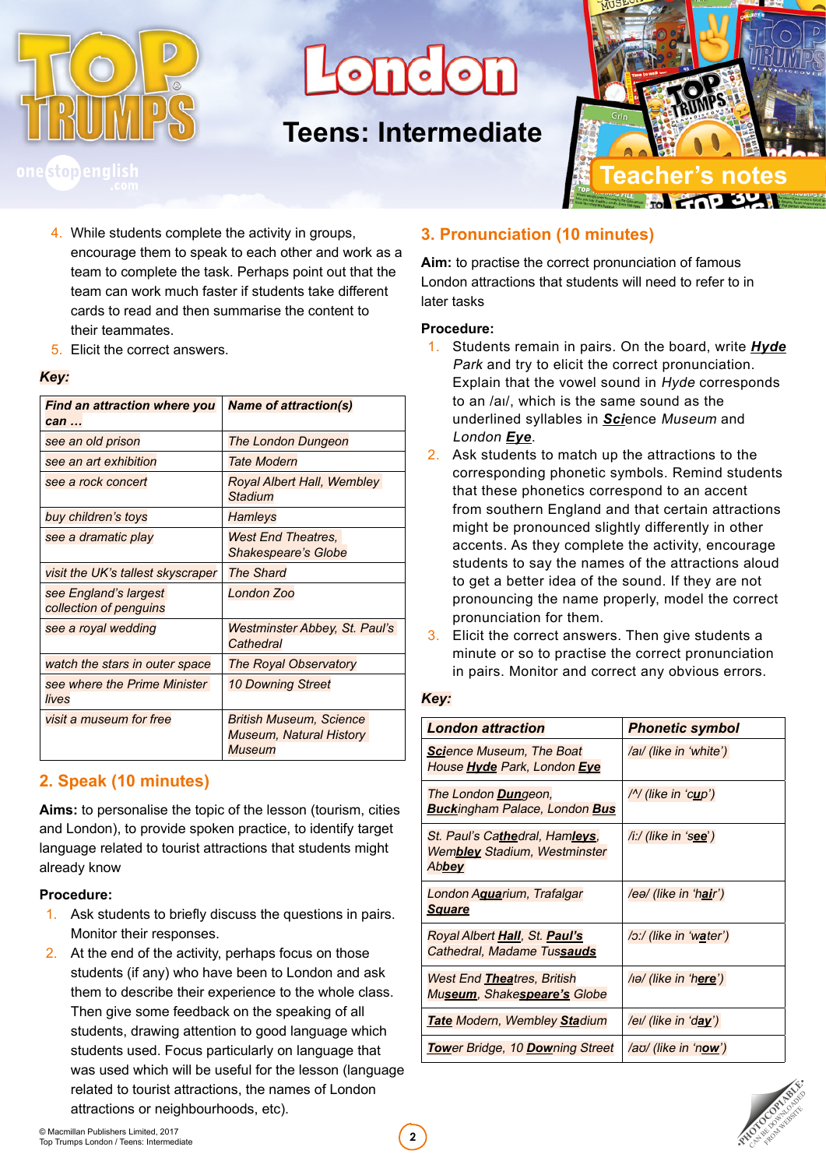

 $\partial \mathcal{D}$  or

# **Teens: Intermediate**



- 4. While students complete the activity in groups, encourage them to speak to each other and work as a team to complete the task. Perhaps point out that the team can work much faster if students take different cards to read and then summarise the content to their teammates.
- 5. Elicit the correct answers.

#### *Key:*

| Find an attraction where you<br>$can \dots$     | <b>Name of attraction(s)</b>                                               |
|-------------------------------------------------|----------------------------------------------------------------------------|
| see an old prison                               | <b>The London Dungeon</b>                                                  |
| see an art exhibition                           | <b>Tate Modern</b>                                                         |
| see a rock concert                              | Royal Albert Hall, Wembley<br><b>Stadium</b>                               |
| buy children's toys                             | <b>Hamleys</b>                                                             |
| see a dramatic play                             | <b>West End Theatres,</b><br><b>Shakespeare's Globe</b>                    |
| visit the UK's tallest skyscraper               | <b>The Shard</b>                                                           |
| see England's largest<br>collection of penguins | <b>London Zoo</b>                                                          |
| see a royal wedding                             | Westminster Abbey, St. Paul's<br>Cathedral                                 |
| watch the stars in outer space                  | The Royal Observatory                                                      |
| see where the Prime Minister<br>lives           | <b>10 Downing Street</b>                                                   |
| visit a museum for free                         | <b>British Museum, Science</b><br><b>Museum, Natural History</b><br>Museum |

#### **2. Speak (10 minutes)**

**Aims:** to personalise the topic of the lesson (tourism, cities and London), to provide spoken practice, to identify target language related to tourist attractions that students might already know

#### **Procedure:**

- 1. Ask students to briefly discuss the questions in pairs. Monitor their responses.
- 2. At the end of the activity, perhaps focus on those students (if any) who have been to London and ask them to describe their experience to the whole class. Then give some feedback on the speaking of all students, drawing attention to good language which students used. Focus particularly on language that was used which will be useful for the lesson (language related to tourist attractions, the names of London attractions or neighbourhoods, etc).

#### **3. Pronunciation (10 minutes)**

**Aim:** to practise the correct pronunciation of famous London attractions that students will need to refer to in later tasks

#### **Procedure:**

- 1. Students remain in pairs. On the board, write *Hyde* Park and try to elicit the correct pronunciation. Explain that the vowel sound in Hyde corresponds to an /aɪ/, which is the same sound as the underlined syllables in *Sci*ence Museum and London *Eye*.
- 2. Ask students to match up the attractions to the corresponding phonetic symbols. Remind students that these phonetics correspond to an accent from southern England and that certain attractions might be pronounced slightly differently in other accents. As they complete the activity, encourage students to say the names of the attractions aloud to get a better idea of the sound. If they are not pronouncing the name properly, model the correct pronunciation for them.
- 3. Elicit the correct answers. Then give students a minute or so to practise the correct pronunciation in pairs. Monitor and correct any obvious errors.

#### *Key:*

| <b>London attraction</b>                                                | <b>Phonetic symbol</b>         |
|-------------------------------------------------------------------------|--------------------------------|
| <b>Science Museum, The Boat</b><br>House <b>Hyde</b> Park, London Eye   | /ai/ (like in 'white')         |
| The London <b>Dun</b> geon,<br><b>Buckingham Palace, London Bus</b>     | /^/ (like in 'cup')            |
| St. Paul's Cathedral, Hamleys,<br>Wembley Stadium, Westminster<br>Abbey | /i:/ (like in 'see')           |
| London Aguarium, Trafalgar<br><u>Square</u>                             | /eə/ (like in 'hair')          |
| Royal Albert Hall, St. Paul's<br>Cathedral, Madame Tussauds             | /ɔː/ (like in 'water')         |
| <b>West End Theatres, British</b><br>Museum, Shakespeare's Globe        | /iə/ (like in 'h <b>ere</b> ') |
| <b>Tate Modern, Wembley Stadium</b>                                     | /eı/ (like in 'day')           |
| <b>Tower Bridge, 10 Downing Street</b>                                  | /aʊ/ (like in 'now')           |



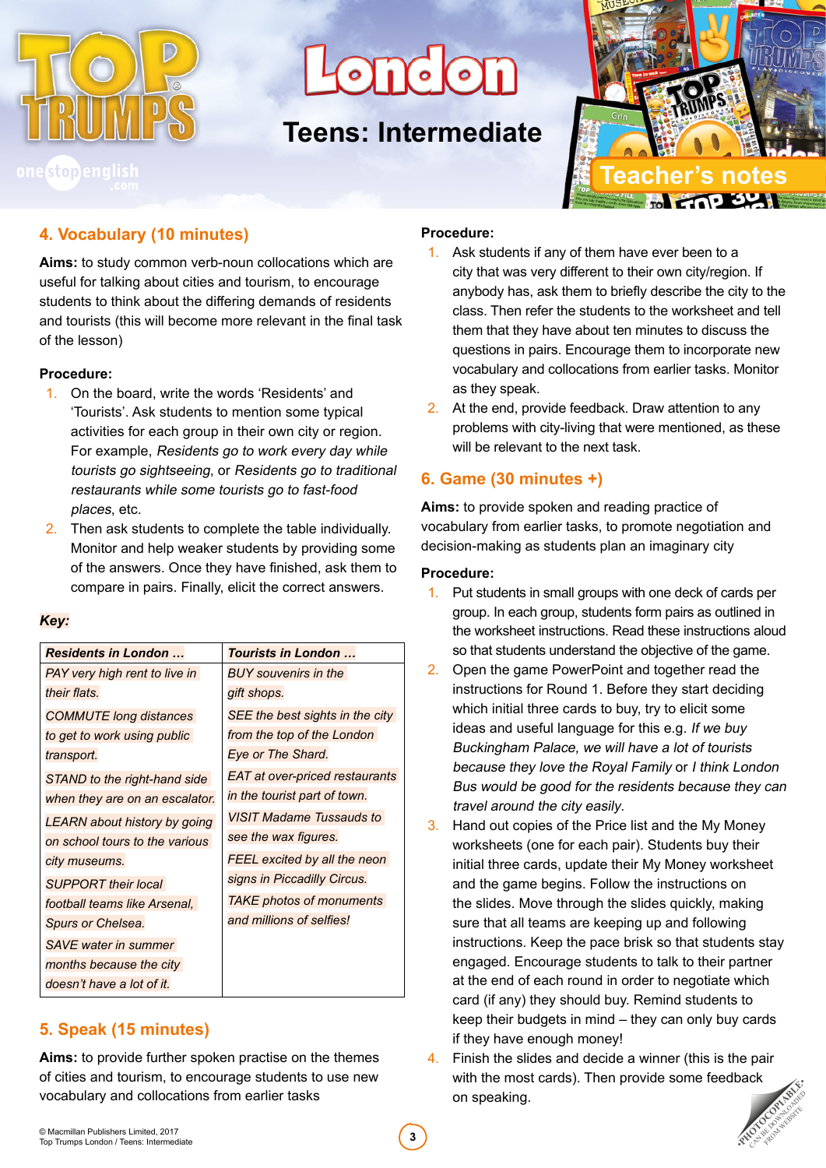

ond on

# **Teens: Intermediate**



#### **4. Vocabulary (10 minutes)**

**Aims:** to study common verb-noun collocations which are useful for talking about cities and tourism, to encourage students to think about the differing demands of residents and tourists (this will become more relevant in the final task of the lesson)

#### **Procedure:**

- 1. On the board, write the words 'Residents' and 'Tourists'. Ask students to mention some typical activities for each group in their own city or region. For example, Residents go to work every day while tourists go sightseeing, or Residents go to traditional restaurants while some tourists go to fast-food places, etc.
- 2. Then ask students to complete the table individually. Monitor and help weaker students by providing some of the answers. Once they have finished, ask them to compare in pairs. Finally, elicit the correct answers.

#### *Key:*

| Residents in London            | Tourists in London              |
|--------------------------------|---------------------------------|
| PAY very high rent to live in  | BUY souvenirs in the            |
| their flats.                   | gift shops.                     |
| <b>COMMUTE</b> long distances  | SEE the best sights in the city |
| to get to work using public    | from the top of the London      |
| transport.                     | Eye or The Shard.               |
| STAND to the right-hand side   | EAT at over-priced restaurants  |
| when they are on an escalator. | in the tourist part of town.    |
| LEARN about history by going   | <b>VISIT Madame Tussauds to</b> |
| on school tours to the various | see the wax figures.            |
| city museums.                  | FEEL excited by all the neon    |
| <b>SUPPORT</b> their local     | signs in Piccadilly Circus.     |
| football teams like Arsenal,   | <b>TAKE photos of monuments</b> |
| Spurs or Chelsea.              | and millions of selfies!        |
| <b>SAVE</b> water in summer    |                                 |
| months because the city        |                                 |
| doesn't have a lot of it.      |                                 |

#### **5. Speak (15 minutes)**

**Aims:** to provide further spoken practise on the themes of cities and tourism, to encourage students to use new vocabulary and collocations from earlier tasks

#### **Procedure:**

- 1. Ask students if any of them have ever been to a city that was very different to their own city/region. If anybody has, ask them to briefly describe the city to the class. Then refer the students to the worksheet and tell them that they have about ten minutes to discuss the questions in pairs. Encourage them to incorporate new vocabulary and collocations from earlier tasks. Monitor as they speak.
- 2. At the end, provide feedback. Draw attention to any problems with city-living that were mentioned, as these will be relevant to the next task.

#### **6. Game (30 minutes +)**

**Aims:** to provide spoken and reading practice of vocabulary from earlier tasks, to promote negotiation and decision-making as students plan an imaginary city

#### **Procedure:**

- 1. Put students in small groups with one deck of cards per group. In each group, students form pairs as outlined in the worksheet instructions. Read these instructions aloud so that students understand the objective of the game.
- 2. Open the game PowerPoint and together read the instructions for Round 1. Before they start deciding which initial three cards to buy, try to elicit some ideas and useful language for this e.g. If we buy Buckingham Palace, we will have a lot of tourists because they love the Royal Family or I think London Bus would be good for the residents because they can travel around the city easily.
- 3. Hand out copies of the Price list and the My Money worksheets (one for each pair). Students buy their initial three cards, update their My Money worksheet and the game begins. Follow the instructions on the slides. Move through the slides quickly, making sure that all teams are keeping up and following instructions. Keep the pace brisk so that students stay engaged. Encourage students to talk to their partner at the end of each round in order to negotiate which card (if any) they should buy. Remind students to keep their budgets in mind – they can only buy cards if they have enough money!
- 4. Finish the slides and decide a winner (this is the pair with the most cards). Then provide some feedback on speaking.

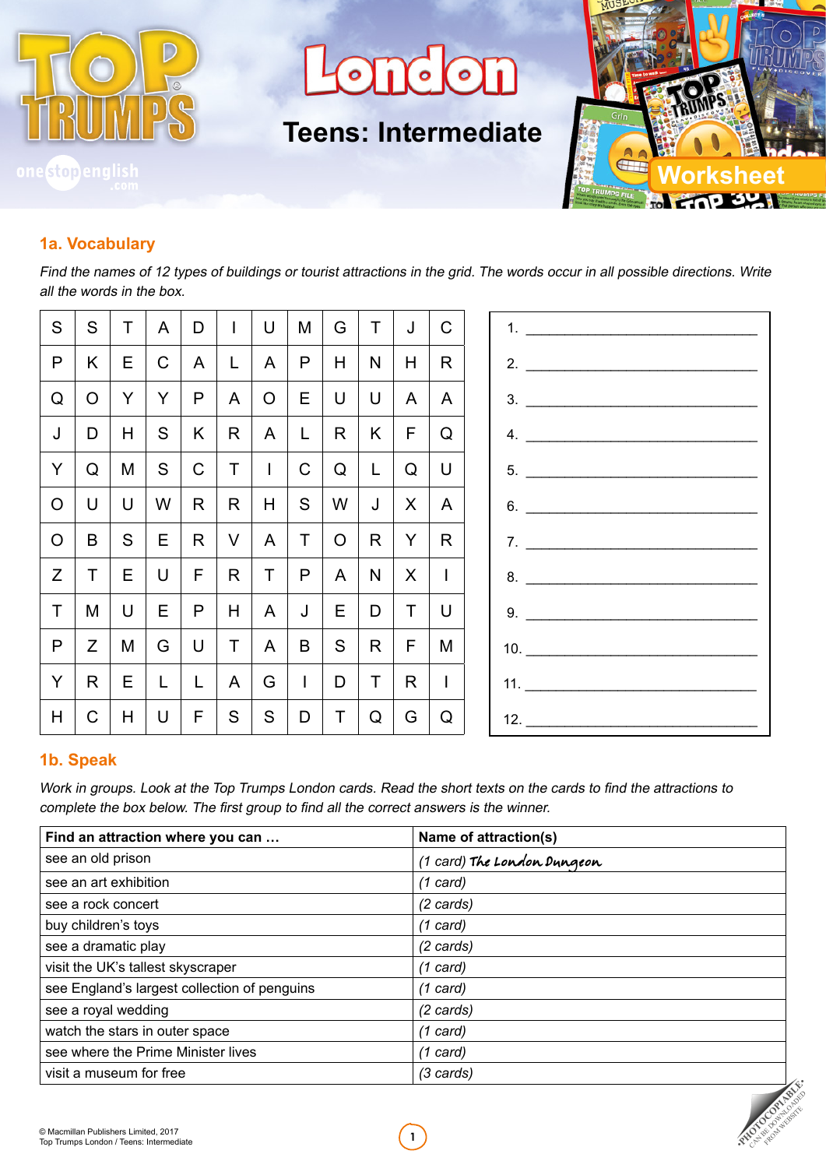

nd on  $\Omega$ 

**Teens: Intermediate**



#### **1a. Vocabulary**

Find the names of 12 types of buildings or tourist attractions in the grid. The words occur in all possible directions. Write all the words in the box.

| S              | S              | $\top$    | A            | D            | $\mathbb{R}$ | U            | M            |              | G   T       | J                 | $\mathsf{C}$                     |                    |
|----------------|----------------|-----------|--------------|--------------|--------------|--------------|--------------|--------------|-------------|-------------------|----------------------------------|--------------------|
| P              | K              | E.        | $\mathbf C$  | $\mathsf{A}$ | $\mathsf{L}$ | $\mathsf{A}$ | P            | H            | N           | H                 | R                                | 2. $\qquad \qquad$ |
| Q              | O <sub>1</sub> | Y         | Y            | $\mathsf{P}$ | $\mathsf{A}$ | $\circ$      | E            |              | $U$ $ $ $U$ | $\mathsf{A}$      | $A \mid$                         | 3.                 |
| J              | D              | H         | S.           | K            | R            | $\mathsf{A}$ | $\mathsf{L}$ | $\mathsf{R}$ | K           | F                 | $\begin{array}{c} Q \end{array}$ | 4.                 |
| Y              | Q              | M         | S            | C            | $T$   1      |              | $\mathsf{C}$ |              | $Q \mid L$  | $\mathsf Q$       | $\cup$                           | 5.                 |
| $\circ$        | U              | $\bigcup$ | W            | R            | R            | H            | S            | W            | J           | $\mathsf{X}$      | A.                               | 6.                 |
| $\overline{O}$ | B              | S         | E            | R            | V            | $\mathsf{A}$ | $\top$       | O   R        |             | Y                 | $R_{\parallel}$                  | 7.                 |
| Z              | T              | E.        | $\bigcup$    | F            | R            | $\top$       | $\mathsf{P}$ |              | $A \mid N$  | $\vert$ X $\vert$ | $\mathbf{I}$                     | 8.                 |
| T              | M              | U         | E            | P            | H            | A            | J            |              |             | E D T             | U                                | 9.                 |
| P              | Z              | M         | G            | $\cup$       | $\top$       | $\mathsf{A}$ | B            | S            | R           | $\mathsf{F}$      | M                                | 10.                |
| Y              | R              | E I       | $\mathsf{L}$ | $\mathsf{L}$ | $\mathsf{A}$ | G            | $\mathbb{R}$ | D            | $\top$      | R                 | $\mathbf{1}$                     | 11.                |
| H.             | $\mathsf{C}$   | H         | U            | F.           | S            | S            | D            | $\mathsf{T}$ | Q           | G                 | Q                                |                    |
|                |                |           |              |              |              |              |              |              |             |                   |                                  |                    |

#### **1b. Speak**

Work in groups. Look at the Top Trumps London cards. Read the short texts on the cards to find the attractions to complete the box below. The first group to find all the correct answers is the winner.

| Find an attraction where you can             | Name of attraction(s)       |
|----------------------------------------------|-----------------------------|
| see an old prison                            | (1 card) The London Dungeon |
| see an art exhibition                        | (1 card)                    |
| see a rock concert                           | (2 cards)                   |
| buy children's toys                          | $(1 \text{ card})$          |
| see a dramatic play                          | $(2 \text{ cards})$         |
| visit the UK's tallest skyscraper            | (1 card)                    |
| see England's largest collection of penguins | (1 card)                    |
| see a royal wedding                          | (2 cards)                   |
| watch the stars in outer space               | (1 card)                    |
| see where the Prime Minister lives           | (1 card)                    |
| visit a museum for free                      | (3 cards)                   |

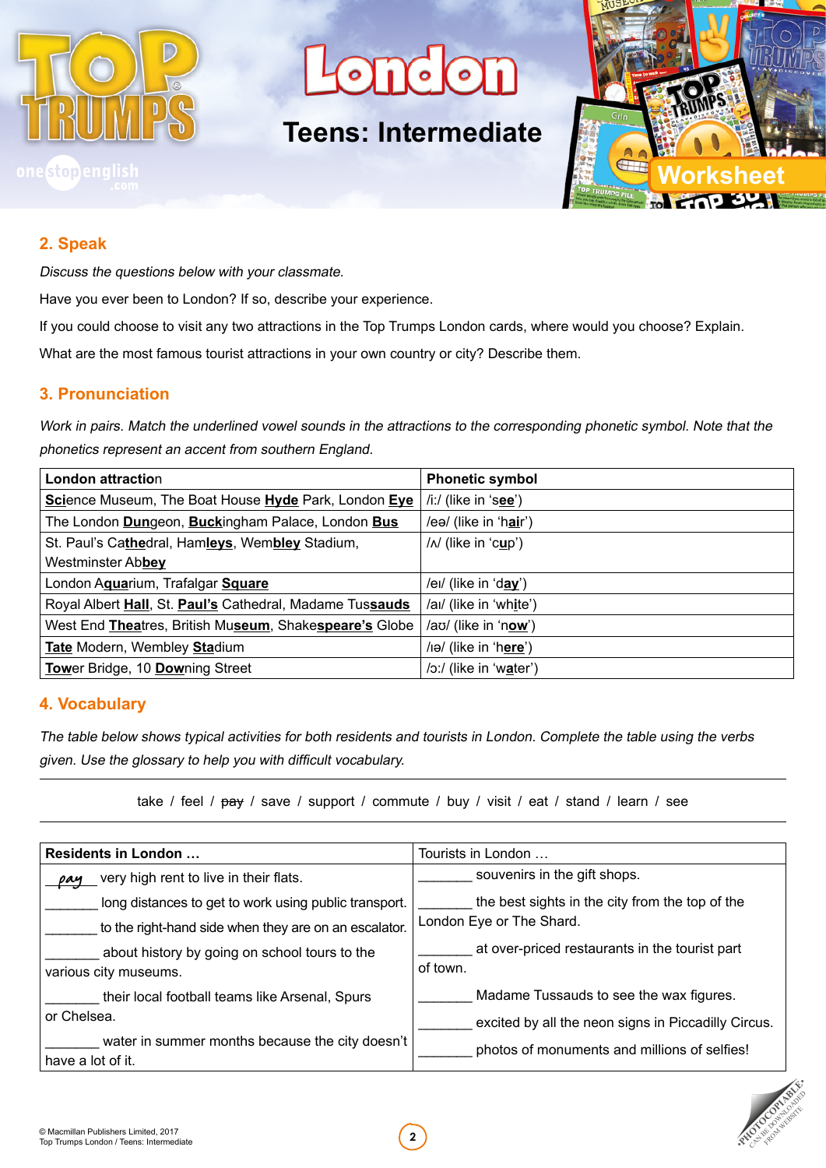

ond on

# **Teens: Intermediate**



#### **2. Speak**

Discuss the questions below with your classmate.

Have you ever been to London? If so, describe your experience.

If you could choose to visit any two attractions in the Top Trumps London cards, where would you choose? Explain.

What are the most famous tourist attractions in your own country or city? Describe them.

#### **3. Pronunciation**

Work in pairs. Match the underlined vowel sounds in the attractions to the corresponding phonetic symbol. Note that the phonetics represent an accent from southern England.

| <b>London attraction</b>                                 | <b>Phonetic symbol</b>  |
|----------------------------------------------------------|-------------------------|
| Science Museum, The Boat House Hyde Park, London Eye     | $/i$ :/ (like in 'see') |
| The London Dungeon, Buckingham Palace, London Bus        | /eə/ (like in 'hair')   |
| St. Paul's Cathedral, Hamleys, Wembley Stadium,          | $/N$ (like in 'cup')    |
| Westminster Abbey                                        |                         |
| London Aguarium, Trafalgar Square                        | /ei/ (like in 'day')    |
| Royal Albert Hall, St. Paul's Cathedral, Madame Tussauds | /ai/ (like in 'white')  |
| West End Theatres, British Museum, Shakespeare's Globe   | /aʊ/ (like in 'now')    |
| Tate Modern, Wembley Stadium                             | /iə/ (like in 'here')   |
| Tower Bridge, 10 Downing Street                          | /o:/ (like in 'water')  |

#### **4. Vocabulary**

The table below shows typical activities for both residents and tourists in London. Complete the table using the verbs given. Use the glossary to help you with difficult vocabulary.

take / feel /  $pay$  / save / support / commute / buy / visit / eat / stand / learn / see

| Residents in London                                                    | Tourists in London                                         |  |  |  |  |
|------------------------------------------------------------------------|------------------------------------------------------------|--|--|--|--|
| very high rent to live in their flats.<br>pay                          | souvenirs in the gift shops.                               |  |  |  |  |
| long distances to get to work using public transport.                  | the best sights in the city from the top of the            |  |  |  |  |
| to the right-hand side when they are on an escalator.                  | London Eye or The Shard.                                   |  |  |  |  |
| about history by going on school tours to the<br>various city museums. | at over-priced restaurants in the tourist part<br>of town. |  |  |  |  |
| their local football teams like Arsenal, Spurs                         | Madame Tussauds to see the wax figures.                    |  |  |  |  |
| or Chelsea.                                                            | excited by all the neon signs in Piccadilly Circus.        |  |  |  |  |
| water in summer months because the city doesn't<br>have a lot of it.   | photos of monuments and millions of selfies!               |  |  |  |  |

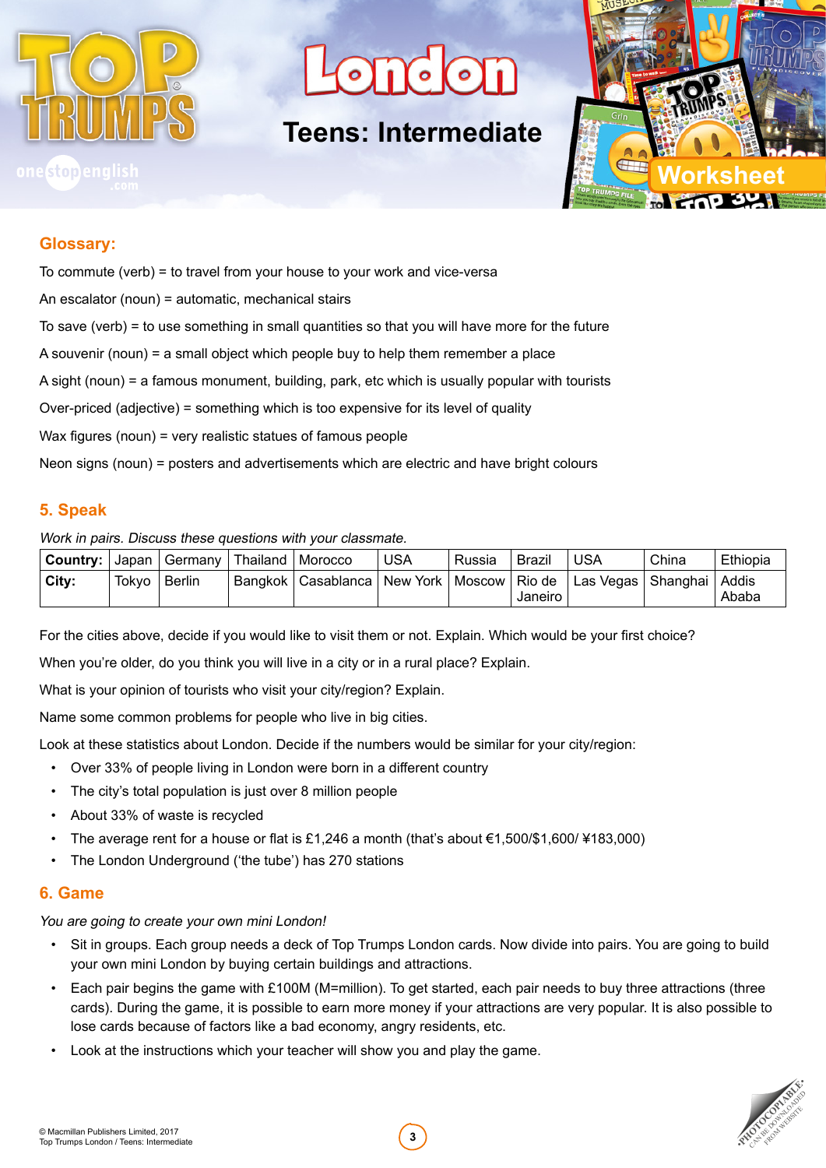

 $\bigcap$   $\bigcirc$   $\bigcirc$ 

## **Teens: Intermediate**



#### **Glossary:**

| To commute (verb) = to travel from your house to your work and vice-versa                       |
|-------------------------------------------------------------------------------------------------|
| An escalator (noun) = automatic, mechanical stairs                                              |
| To save (verb) = to use something in small quantities so that you will have more for the future |
| A souvenir (noun) = a small object which people buy to help them remember a place               |
| A sight (noun) = a famous monument, building, park, etc which is usually popular with tourists  |
| Over-priced (adjective) = something which is too expensive for its level of quality             |
| Wax figures (noun) = very realistic statues of famous people                                    |
| Neon signs (noun) = posters and advertisements which are electric and have bright colours       |
|                                                                                                 |

#### **5. Speak**

#### Work in pairs. Discuss these questions with your classmate.

| <b>Country:</b>   Japan |       | Germany   Thailand   Morocco |                                                   | USA | Russia | <b>Brazil</b> | USA                          | China | Ethiopia |
|-------------------------|-------|------------------------------|---------------------------------------------------|-----|--------|---------------|------------------------------|-------|----------|
| City:                   | Tokyo | <b>Berlin</b>                | Bangkok   Casablanca   New York   Moscow   Rio de |     |        | Janeiro       | Las Vegas   Shanghai   Addis |       | Ababa    |

For the cities above, decide if you would like to visit them or not. Explain. Which would be your first choice?

When you're older, do you think you will live in a city or in a rural place? Explain.

What is your opinion of tourists who visit your city/region? Explain.

Name some common problems for people who live in big cities.

Look at these statistics about London. Decide if the numbers would be similar for your city/region:

- Over 33% of people living in London were born in a different country
- The city's total population is just over 8 million people
- About 33% of waste is recycled
- The average rent for a house or flat is £1,246 a month (that's about  $€1,500$ /\$1,600/¥183,000)
- The London Underground ('the tube') has 270 stations

#### **6. Game**

You are going to create your own mini London!

- Sit in groups. Each group needs a deck of Top Trumps London cards. Now divide into pairs. You are going to build your own mini London by buying certain buildings and attractions.
- Each pair begins the game with £100M (M=million). To get started, each pair needs to buy three attractions (three cards). During the game, it is possible to earn more money if your attractions are very popular. It is also possible to lose cards because of factors like a bad economy, angry residents, etc.
- Look at the instructions which your teacher will show you and play the game.

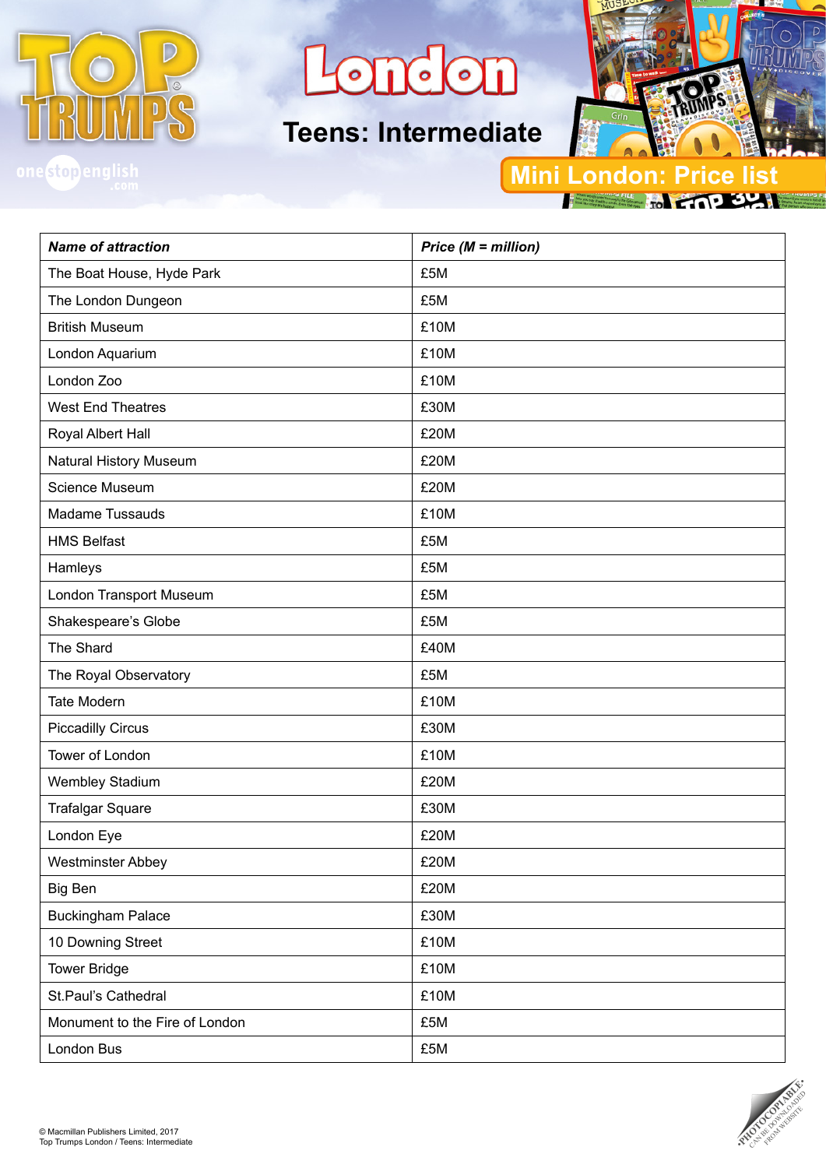

**ondon** 

# **Teens: Intermediate**



onestopengli

### **Mini London: Price**

*Name of attraction Price (M = million)* The Boat House, Hyde Park **E**5M The London Dungeon **E5M** British Museum **E10M** London Aquarium **E10M** London Zoo **E10M** West End Theatres **Example 2008** E30M Royal Albert Hall **EXAMPLE 20M** Natural History Museum **EXAM** E20M Science Museum **E20M** Madame Tussauds **E10M** HMS Belfast **E5M** Hamleys E5M London Transport Museum **E5M** Shakespeare's Globe  $\left| \right.$  £5M The Shard **E40M** The Royal Observatory **E5M** Tate Modern **E10M** Piccadilly Circus **E30M** Tower of London **E10M** Wembley Stadium **E20M** Trafalgar Square **E30M** London Eye **Example 20M** Westminster Abbey **E20M** Big Ben **E20M** Buckingham Palace **E30M** 10 Downing Street **E10M** Tower Bridge **E10M** St.Paul's Cathedral **E10M** Monument to the Fire of London **E5M** London Bus **E5M**